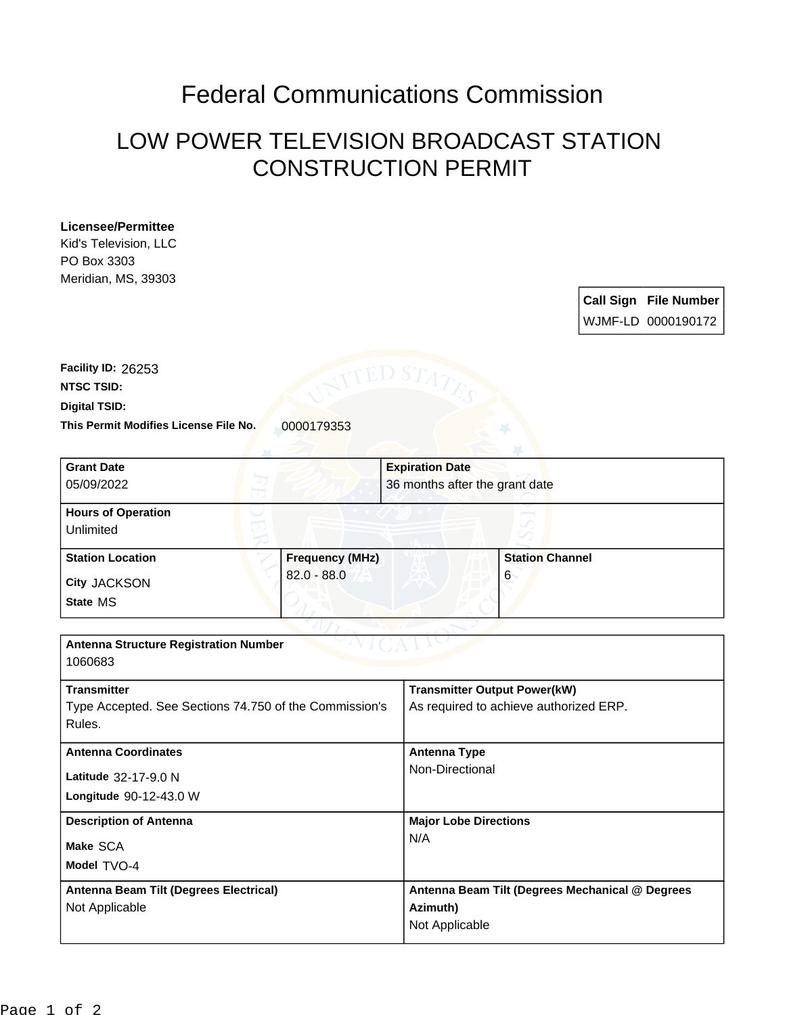## Federal Communications Commission

## LOW POWER TELEVISION BROADCAST STATION CONSTRUCTION PERMIT

## **Licensee/Permittee**

Kid's Television, LLC PO Box 3303 Meridian, MS, 39303

> **Call Sign File Number** WJMF-LD 0000190172

This Permit Modifies License File No. 0000179353 **Digital TSID: NTSC TSID: Facility ID:** 26253

| <b>Grant Date</b>                                      |                        | <b>Expiration Date</b> |                                                 |  |
|--------------------------------------------------------|------------------------|------------------------|-------------------------------------------------|--|
| 05/09/2022                                             |                        |                        | 36 months after the grant date                  |  |
| <b>Hours of Operation</b>                              |                        |                        |                                                 |  |
| Unlimited                                              |                        |                        |                                                 |  |
| <b>Station Location</b>                                | <b>Frequency (MHz)</b> |                        | <b>Station Channel</b>                          |  |
| City JACKSON                                           | $82.0 - 88.0$          |                        | 6                                               |  |
| State MS                                               |                        |                        |                                                 |  |
|                                                        |                        |                        |                                                 |  |
| <b>Antenna Structure Registration Number</b>           |                        |                        |                                                 |  |
| 1060683                                                |                        |                        |                                                 |  |
| <b>Transmitter</b>                                     |                        |                        | <b>Transmitter Output Power(kW)</b>             |  |
| Type Accepted. See Sections 74.750 of the Commission's |                        |                        | As required to achieve authorized ERP.          |  |
| Rules.                                                 |                        |                        |                                                 |  |
| <b>Antenna Coordinates</b>                             |                        | <b>Antenna Type</b>    |                                                 |  |
| Latitude 32-17-9.0 N                                   |                        |                        | Non-Directional                                 |  |
| Longitude 90-12-43.0 W                                 |                        |                        |                                                 |  |
| <b>Description of Antenna</b>                          |                        |                        | <b>Major Lobe Directions</b>                    |  |
| Make SCA                                               |                        | N/A                    |                                                 |  |
| Model TVO-4                                            |                        |                        |                                                 |  |
| Antenna Beam Tilt (Degrees Electrical)                 |                        |                        | Antenna Beam Tilt (Degrees Mechanical @ Degrees |  |
| Not Applicable                                         |                        | Azimuth)               |                                                 |  |
|                                                        |                        | Not Applicable         |                                                 |  |